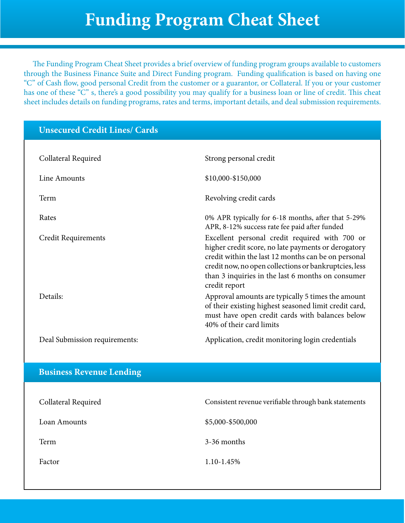The Funding Program Cheat Sheet provides a brief overview of funding program groups available to customers through the Business Finance Suite and Direct Funding program. Funding qualification is based on having one "C" of Cash flow, good personal Credit from the customer or a guarantor, or Collateral. If you or your customer has one of these "C" s, there's a good possibility you may qualify for a business loan or line of credit. This cheat sheet includes details on funding programs, rates and terms, important details, and deal submission requirements.

# **Unsecured Credit Lines/ Cards** Collateral Required **Strong personal credit** Strong personal credit Line Amounts \$10,000-\$150,000 Term Revolving credit cards Rates 0% APR typically for 6-18 months, after that 5-29% APR, 8-12% success rate fee paid after funded Credit Requirements Excellent personal credit required with 700 or higher credit score, no late payments or derogatory credit within the last 12 months can be on personal credit now, no open collections or bankruptcies, less than 3 inquiries in the last 6 months on consumer credit report Details: Approval amounts are typically 5 times the amount of their existing highest seasoned limit credit card, must have open credit cards with balances below 40% of their card limits Deal Submission requirements: Application, credit monitoring login credentials

#### **Business Revenue Lending**

| Collateral Required | Consistent revenue verifiable through bank statements |
|---------------------|-------------------------------------------------------|
| Loan Amounts        | \$5,000-\$500,000                                     |
| Term                | 3-36 months                                           |
| Factor              | $1.10 - 1.45\%$                                       |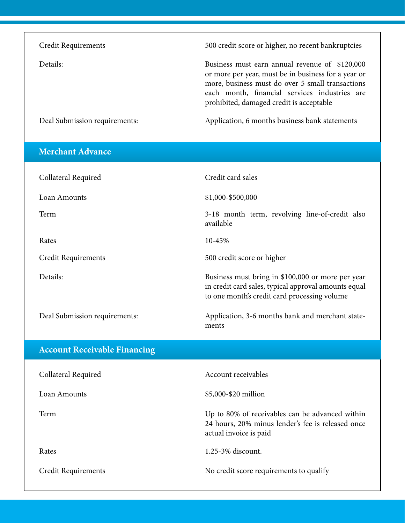| Credit Requirements           | 500 credit score or higher, no recent bankruptcies                                                                                                                                                                                                     |
|-------------------------------|--------------------------------------------------------------------------------------------------------------------------------------------------------------------------------------------------------------------------------------------------------|
| Details:                      | Business must earn annual revenue of \$120,000<br>or more per year, must be in business for a year or<br>more, business must do over 5 small transactions<br>each month, financial services industries are<br>prohibited, damaged credit is acceptable |
| Deal Submission requirements: | Application, 6 months business bank statements                                                                                                                                                                                                         |

| <b>Merchant Advance</b>             |                                                                                                                                                           |
|-------------------------------------|-----------------------------------------------------------------------------------------------------------------------------------------------------------|
| Collateral Required                 | Credit card sales                                                                                                                                         |
| Loan Amounts                        | \$1,000-\$500,000                                                                                                                                         |
| Term                                | 3-18 month term, revolving line-of-credit also<br>available                                                                                               |
| Rates                               | 10-45%                                                                                                                                                    |
| Credit Requirements                 | 500 credit score or higher                                                                                                                                |
| Details:                            | Business must bring in \$100,000 or more per year<br>in credit card sales, typical approval amounts equal<br>to one month's credit card processing volume |
| Deal Submission requirements:       | Application, 3-6 months bank and merchant state-<br>ments                                                                                                 |
|                                     |                                                                                                                                                           |
| <b>Account Receivable Financing</b> |                                                                                                                                                           |
| Collateral Required                 | Account receivables                                                                                                                                       |
| Loan Amounts                        | \$5,000-\$20 million                                                                                                                                      |
| Term                                | Up to 80% of receivables can be advanced within<br>24 hours, 20% minus lender's fee is released once<br>actual invoice is paid                            |
| Rates                               | 1.25-3% discount.                                                                                                                                         |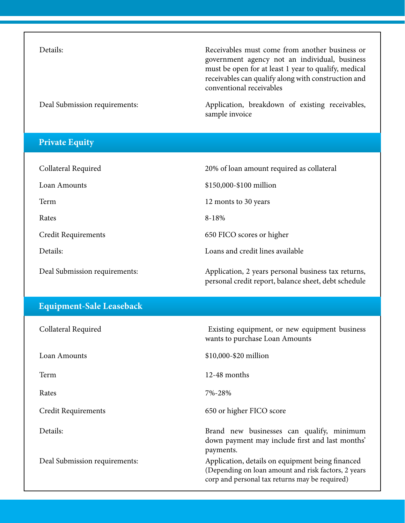Details: Receivables must come from another business or government agency not an individual, business must be open for at least 1 year to qualify, medical receivables can qualify along with construction and conventional receivables

Deal Submission requirements: Application, breakdown of existing receivables, sample invoice

#### **Private Equity**

| Collateral Required           | 20% of loan amount required as collateral                                                                   |
|-------------------------------|-------------------------------------------------------------------------------------------------------------|
| Loan Amounts                  | \$150,000-\$100 million                                                                                     |
| Term                          | 12 monts to 30 years                                                                                        |
| Rates                         | $8 - 18%$                                                                                                   |
| Credit Requirements           | 650 FICO scores or higher                                                                                   |
| Details:                      | Loans and credit lines available                                                                            |
| Deal Submission requirements: | Application, 2 years personal business tax returns,<br>personal credit report, balance sheet, debt schedule |

### **Equipment-Sale Leaseback**

| Collateral Required           | Existing equipment, or new equipment business<br>wants to purchase Loan Amounts                                                                            |
|-------------------------------|------------------------------------------------------------------------------------------------------------------------------------------------------------|
| Loan Amounts                  | \$10,000-\$20 million                                                                                                                                      |
| Term                          | $12-48$ months                                                                                                                                             |
| Rates                         | 7%-28%                                                                                                                                                     |
| Credit Requirements           | 650 or higher FICO score                                                                                                                                   |
| Details:                      | Brand new businesses can qualify, minimum<br>down payment may include first and last months'<br>payments.                                                  |
| Deal Submission requirements: | Application, details on equipment being financed<br>(Depending on loan amount and risk factors, 2 years)<br>corp and personal tax returns may be required) |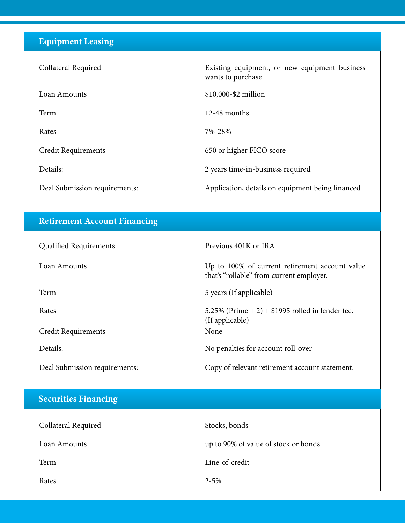## **Equipment Leasing**

| Collateral Required           | Existing equipment, or new equipment business<br>wants to purchase |
|-------------------------------|--------------------------------------------------------------------|
| Loan Amounts                  | \$10,000-\$2 million                                               |
| Term                          | $12-48$ months                                                     |
| Rates                         | 7%-28%                                                             |
| Credit Requirements           | 650 or higher FICO score                                           |
| Details:                      | 2 years time-in-business required                                  |
| Deal Submission requirements: | Application, details on equipment being financed                   |

## **Retirement Account Financing**

| <b>Qualified Requirements</b> | Previous 401K or IRA                                                                       |
|-------------------------------|--------------------------------------------------------------------------------------------|
| Loan Amounts                  | Up to 100% of current retirement account value<br>that's "rollable" from current employer. |
| Term                          | 5 years (If applicable)                                                                    |
| Rates                         | 5.25% (Prime + 2) + $$1995$ rolled in lender fee.<br>(If applicable)                       |
| Credit Requirements           | None                                                                                       |
| Details:                      | No penalties for account roll-over                                                         |
| Deal Submission requirements: | Copy of relevant retirement account statement.                                             |

# **Securities Financing**

| Collateral Required | Stocks, bonds                        |
|---------------------|--------------------------------------|
| Loan Amounts        | up to 90% of value of stock or bonds |
| Term                | Line-of-credit                       |
| Rates               | $2 - 5\%$                            |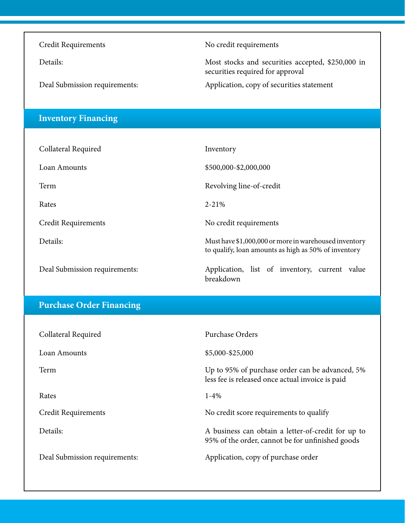Credit Requirements No credit requirements

Details: Most stocks and securities accepted, \$250,000 in securities required for approval

Deal Submission requirements: Application, copy of securities statement

### **Inventory Financing**

| Collateral Required           | Inventory                                                                                                     |
|-------------------------------|---------------------------------------------------------------------------------------------------------------|
| Loan Amounts                  | \$500,000-\$2,000,000                                                                                         |
| Term                          | Revolving line-of-credit                                                                                      |
| Rates                         | $2 - 21%$                                                                                                     |
| Credit Requirements           | No credit requirements                                                                                        |
| Details:                      | Must have \$1,000,000 or more in warehoused inventory<br>to qualify, loan amounts as high as 50% of inventory |
| Deal Submission requirements: | Application, list of inventory, current value<br>breakdown                                                    |

### **Purchase Order Financing**

| Collateral Required           | Purchase Orders                                                                                        |
|-------------------------------|--------------------------------------------------------------------------------------------------------|
| Loan Amounts                  | \$5,000-\$25,000                                                                                       |
| Term                          | Up to 95% of purchase order can be advanced, 5%<br>less fee is released once actual invoice is paid    |
| Rates                         | $1 - 4\%$                                                                                              |
| Credit Requirements           | No credit score requirements to qualify                                                                |
| Details:                      | A business can obtain a letter-of-credit for up to<br>95% of the order, cannot be for unfinished goods |
| Deal Submission requirements: | Application, copy of purchase order                                                                    |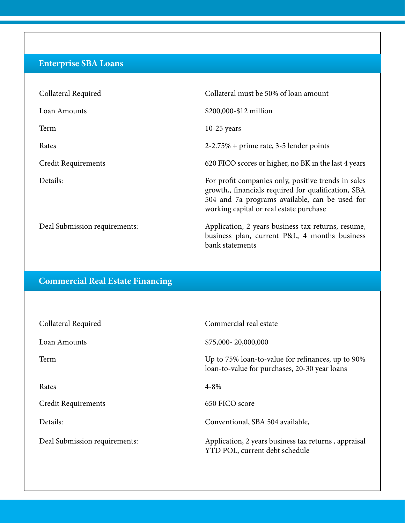## **Enterprise SBA Loans**

| Collateral Required           | Collateral must be 50% of loan amount                                                                                                                                                                   |
|-------------------------------|---------------------------------------------------------------------------------------------------------------------------------------------------------------------------------------------------------|
| Loan Amounts                  | \$200,000-\$12 million                                                                                                                                                                                  |
| Term                          | $10-25$ years                                                                                                                                                                                           |
| Rates                         | $2-2.75%$ + prime rate, 3-5 lender points                                                                                                                                                               |
| Credit Requirements           | 620 FICO scores or higher, no BK in the last 4 years                                                                                                                                                    |
| Details:                      | For profit companies only, positive trends in sales<br>growth,, financials required for qualification, SBA<br>504 and 7a programs available, can be used for<br>working capital or real estate purchase |
| Deal Submission requirements: | Application, 2 years business tax returns, resume,<br>business plan, current P&L, 4 months business<br>bank statements                                                                                  |

### **Commercial Real Estate Financing**

| Collateral Required           | Commercial real estate                                                                             |
|-------------------------------|----------------------------------------------------------------------------------------------------|
| Loan Amounts                  | \$75,000-20,000,000                                                                                |
| Term                          | Up to 75% loan-to-value for refinances, up to 90%<br>loan-to-value for purchases, 20-30 year loans |
| Rates                         | $4 - 8\%$                                                                                          |
| <b>Credit Requirements</b>    | 650 FICO score                                                                                     |
| Details:                      | Conventional, SBA 504 available,                                                                   |
| Deal Submission requirements: | Application, 2 years business tax returns, appraisal<br>YTD POL, current debt schedule             |